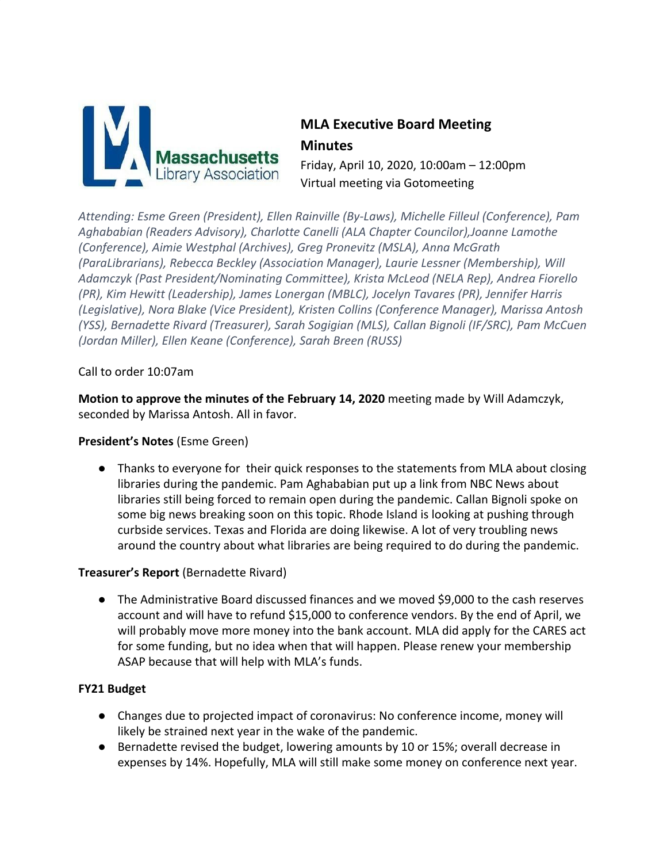

# **MLA Executive Board Meeting Minutes**

Friday, April 10, 2020, 10:00am – 12:00pm Virtual meeting via Gotomeeting

*Attending: Esme Green (President), Ellen Rainville (By-Laws), Michelle Filleul (Conference), Pam Aghababian (Readers Advisory), Charlotte Canelli (ALA Chapter Councilor),Joanne Lamothe (Conference), Aimie Westphal (Archives), Greg Pronevitz (MSLA), Anna McGrath (ParaLibrarians), Rebecca Beckley (Association Manager), Laurie Lessner (Membership), Will Adamczyk (Past President/Nominating Committee), Krista McLeod (NELA Rep), Andrea Fiorello (PR), Kim Hewitt (Leadership), James Lonergan (MBLC), Jocelyn Tavares (PR), Jennifer Harris (Legislative), Nora Blake (Vice President), Kristen Collins (Conference Manager), Marissa Antosh (YSS), Bernadette Rivard (Treasurer), Sarah Sogigian (MLS), Callan Bignoli (IF/SRC), Pam McCuen (Jordan Miller), Ellen Keane (Conference), Sarah Breen (RUSS)*

Call to order 10:07am

**Motion to approve the minutes of the February 14, 2020** meeting made by Will Adamczyk, seconded by Marissa Antosh. All in favor.

## **President's Notes** (Esme Green)

● Thanks to everyone for their quick responses to the statements from MLA about closing libraries during the pandemic. Pam Aghababian put up a link from NBC News about libraries still being forced to remain open during the pandemic. Callan Bignoli spoke on some big news breaking soon on this topic. Rhode Island is looking at pushing through curbside services. Texas and Florida are doing likewise. A lot of very troubling news around the country about what libraries are being required to do during the pandemic.

## **Treasurer's Report** (Bernadette Rivard)

● The Administrative Board discussed finances and we moved \$9,000 to the cash reserves account and will have to refund \$15,000 to conference vendors. By the end of April, we will probably move more money into the bank account. MLA did apply for the CARES act for some funding, but no idea when that will happen. Please renew your membership ASAP because that will help with MLA's funds.

#### **FY21 Budget**

- Changes due to projected impact of coronavirus: No conference income, money will likely be strained next year in the wake of the pandemic.
- Bernadette revised the budget, lowering amounts by 10 or 15%; overall decrease in expenses by 14%. Hopefully, MLA will still make some money on conference next year.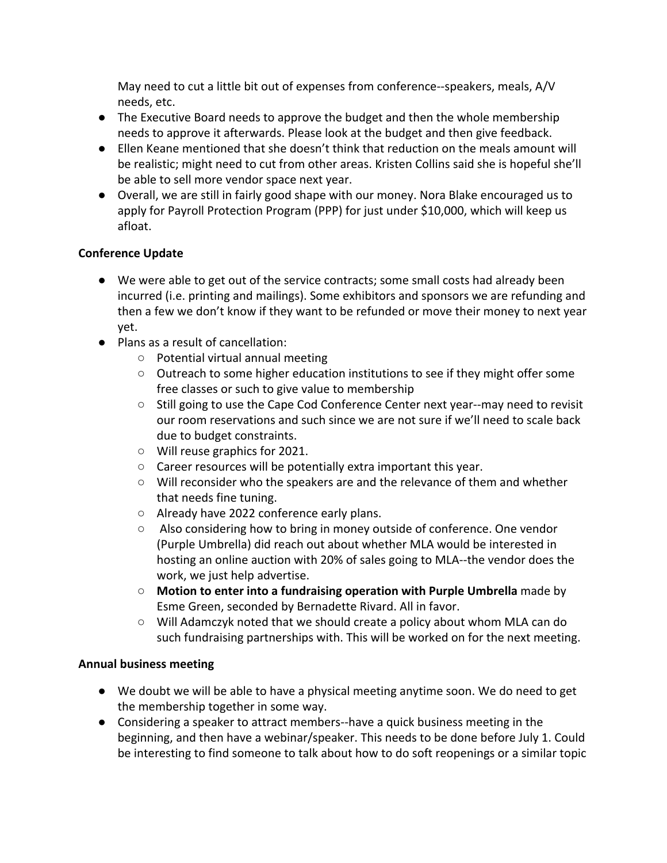May need to cut a little bit out of expenses from conference--speakers, meals, A/V needs, etc.

- The Executive Board needs to approve the budget and then the whole membership needs to approve it afterwards. Please look at the budget and then give feedback.
- Ellen Keane mentioned that she doesn't think that reduction on the meals amount will be realistic; might need to cut from other areas. Kristen Collins said she is hopeful she'll be able to sell more vendor space next year.
- Overall, we are still in fairly good shape with our money. Nora Blake encouraged us to apply for Payroll Protection Program (PPP) for just under \$10,000, which will keep us afloat.

## **Conference Update**

- We were able to get out of the service contracts; some small costs had already been incurred (i.e. printing and mailings). Some exhibitors and sponsors we are refunding and then a few we don't know if they want to be refunded or move their money to next year yet.
- Plans as a result of cancellation:
	- Potential virtual annual meeting
	- Outreach to some higher education institutions to see if they might offer some free classes or such to give value to membership
	- Still going to use the Cape Cod Conference Center next year--may need to revisit our room reservations and such since we are not sure if we'll need to scale back due to budget constraints.
	- Will reuse graphics for 2021.
	- Career resources will be potentially extra important this year.
	- Will reconsider who the speakers are and the relevance of them and whether that needs fine tuning.
	- Already have 2022 conference early plans.
	- Also considering how to bring in money outside of conference. One vendor (Purple Umbrella) did reach out about whether MLA would be interested in hosting an online auction with 20% of sales going to MLA--the vendor does the work, we just help advertise.
	- **Motion to enter into a fundraising operation with Purple Umbrella** made by Esme Green, seconded by Bernadette Rivard. All in favor.
	- Will Adamczyk noted that we should create a policy about whom MLA can do such fundraising partnerships with. This will be worked on for the next meeting.

## **Annual business meeting**

- We doubt we will be able to have a physical meeting anytime soon. We do need to get the membership together in some way.
- Considering a speaker to attract members--have a quick business meeting in the beginning, and then have a webinar/speaker. This needs to be done before July 1. Could be interesting to find someone to talk about how to do soft reopenings or a similar topic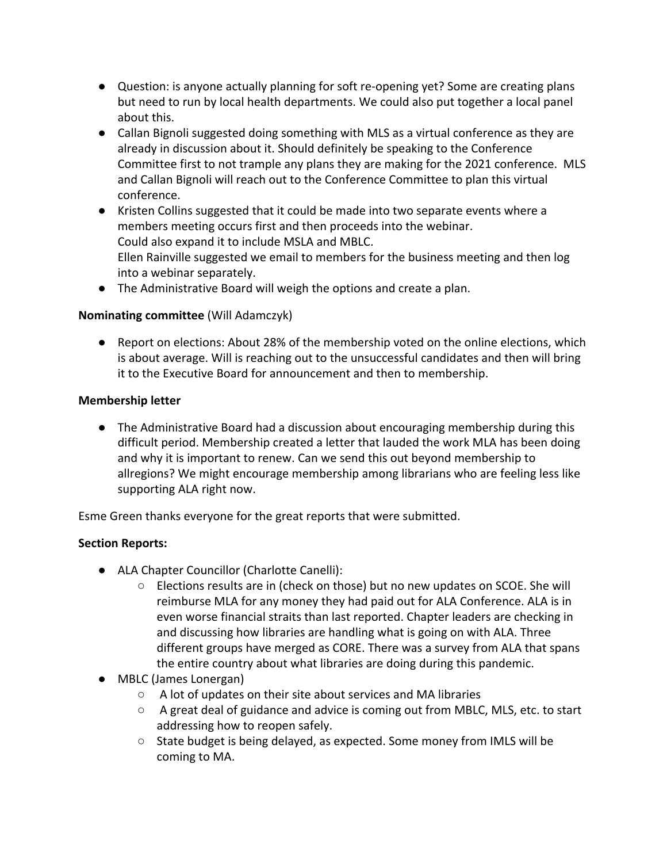- Question: is anyone actually planning for soft re-opening yet? Some are creating plans but need to run by local health departments. We could also put together a local panel about this.
- Callan Bignoli suggested doing something with MLS as a virtual conference as they are already in discussion about it. Should definitely be speaking to the Conference Committee first to not trample any plans they are making for the 2021 conference. MLS and Callan Bignoli will reach out to the Conference Committee to plan this virtual conference.
- Kristen Collins suggested that it could be made into two separate events where a members meeting occurs first and then proceeds into the webinar. Could also expand it to include MSLA and MBLC. Ellen Rainville suggested we email to members for the business meeting and then log into a webinar separately.
- The Administrative Board will weigh the options and create a plan.

## **Nominating committee** (Will Adamczyk)

● Report on elections: About 28% of the membership voted on the online elections, which is about average. Will is reaching out to the unsuccessful candidates and then will bring it to the Executive Board for announcement and then to membership.

## **Membership letter**

● The Administrative Board had a discussion about encouraging membership during this difficult period. Membership created a letter that lauded the work MLA has been doing and why it is important to renew. Can we send this out beyond membership to allregions? We might encourage membership among librarians who are feeling less like supporting ALA right now.

Esme Green thanks everyone for the great reports that were submitted.

# **Section Reports:**

- ALA Chapter Councillor (Charlotte Canelli):
	- Elections results are in (check on those) but no new updates on SCOE. She will reimburse MLA for any money they had paid out for ALA Conference. ALA is in even worse financial straits than last reported. Chapter leaders are checking in and discussing how libraries are handling what is going on with ALA. Three different groups have merged as CORE. There was a survey from ALA that spans the entire country about what libraries are doing during this pandemic.
- MBLC (James Lonergan)
	- A lot of updates on their site about services and MA libraries
	- A great deal of guidance and advice is coming out from MBLC, MLS, etc. to start addressing how to reopen safely.
	- State budget is being delayed, as expected. Some money from IMLS will be coming to MA.